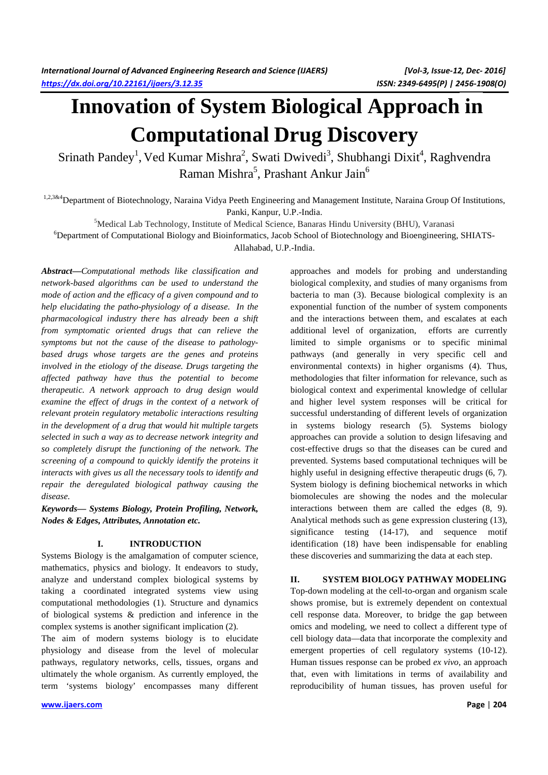# **Innovation of System Biological Approach in Computational Drug Discovery**

Srinath Pandey<sup>1</sup>, Ved Kumar Mishra<sup>2</sup>, Swati Dwivedi<sup>3</sup>, Shubhangi Dixit<sup>4</sup>, Raghvendra Raman Mishra<sup>5</sup>, Prashant Ankur Jain<sup>6</sup>

1,2,3&4 Department of Biotechnology, Naraina Vidya Peeth Engineering and Management Institute, Naraina Group Of Institutions, Panki, Kanpur, U.P.-India.

<sup>5</sup>Medical Lab Technology, Institute of Medical Science, Banaras Hindu University (BHU), Varanasi

<sup>6</sup>Department of Computational Biology and Bioinformatics, Jacob School of Biotechnology and Bioengineering, SHIATS-

Allahabad, U.P.-India.

*Abstract—Computational methods like classification and network-based algorithms can be used to understand the mode of action and the efficacy of a given compound and to help elucidating the patho-physiology of a disease. In the pharmacological industry there has already been a shift from symptomatic oriented drugs that can relieve the symptoms but not the cause of the disease to pathologybased drugs whose targets are the genes and proteins involved in the etiology of the disease. Drugs targeting the affected pathway have thus the potential to become therapeutic. A network approach to drug design would examine the effect of drugs in the context of a network of relevant protein regulatory metabolic interactions resulting in the development of a drug that would hit multiple targets selected in such a way as to decrease network integrity and so completely disrupt the functioning of the network. The screening of a compound to quickly identify the proteins it interacts with gives us all the necessary tools to identify and repair the deregulated biological pathway causing the disease.* 

*Keywords— Systems Biology, Protein Profiling, Network, Nodes & Edges, Attributes, Annotation etc.* 

#### **I. INTRODUCTION**

Systems Biology is the amalgamation of computer science, mathematics, physics and biology. It endeavors to study, analyze and understand complex biological systems by taking a coordinated integrated systems view using computational methodologies (1). Structure and dynamics of biological systems & prediction and inference in the complex systems is another significant implication (2).

The aim of modern systems biology is to elucidate physiology and disease from the level of molecular pathways, regulatory networks, cells, tissues, organs and ultimately the whole organism. As currently employed, the term 'systems biology' encompasses many different

biological complexity, and studies of many organisms from bacteria to man (3). Because biological complexity is an exponential function of the number of system components and the interactions between them, and escalates at each additional level of organization, efforts are currently limited to simple organisms or to specific minimal pathways (and generally in very specific cell and environmental contexts) in higher organisms (4). Thus, methodologies that filter information for relevance, such as biological context and experimental knowledge of cellular and higher level system responses will be critical for successful understanding of different levels of organization in systems biology research (5). Systems biology approaches can provide a solution to design lifesaving and cost-effective drugs so that the diseases can be cured and prevented. Systems based computational techniques will be highly useful in designing effective therapeutic drugs  $(6, 7)$ . System biology is defining biochemical networks in which biomolecules are showing the nodes and the molecular interactions between them are called the edges (8, 9). Analytical methods such as gene expression clustering (13), significance testing (14-17), and sequence motif identification (18) have been indispensable for enabling these discoveries and summarizing the data at each step.

approaches and models for probing and understanding

## **II. SYSTEM BIOLOGY PATHWAY MODELING**

Top-down modeling at the cell-to-organ and organism scale shows promise, but is extremely dependent on contextual cell response data. Moreover, to bridge the gap between omics and modeling, we need to collect a different type of cell biology data—data that incorporate the complexity and emergent properties of cell regulatory systems (10-12). Human tissues response can be probed *ex vivo*, an approach that, even with limitations in terms of availability and reproducibility of human tissues, has proven useful for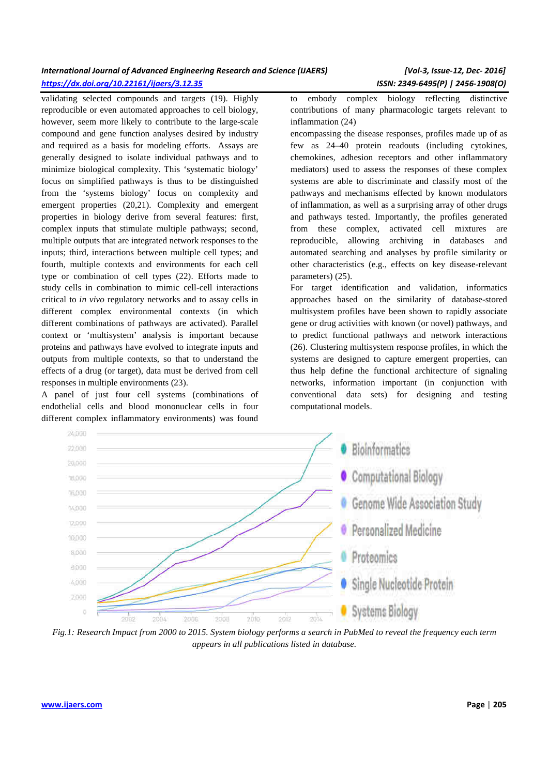# *International Journal of Advanced Engineering Research and Science (IJAERS) [Vol-3, Issue-12, Dec- 2016] https://dx.doi.org/10.22161/ijaers/3.12.35 ISSN: 2349-6495(P) | 2456-1908(O)*

validating selected compounds and targets (19). Highly reproducible or even automated approaches to cell biology, however, seem more likely to contribute to the large-scale compound and gene function analyses desired by industry and required as a basis for modeling efforts. Assays are generally designed to isolate individual pathways and to minimize biological complexity. This 'systematic biology' focus on simplified pathways is thus to be distinguished from the 'systems biology' focus on complexity and emergent properties (20,21). Complexity and emergent properties in biology derive from several features: first, complex inputs that stimulate multiple pathways; second, multiple outputs that are integrated network responses to the inputs; third, interactions between multiple cell types; and fourth, multiple contexts and environments for each cell type or combination of cell types (22). Efforts made to study cells in combination to mimic cell-cell interactions critical to *in vivo* regulatory networks and to assay cells in different complex environmental contexts (in which different combinations of pathways are activated). Parallel context or 'multisystem' analysis is important because proteins and pathways have evolved to integrate inputs and outputs from multiple contexts, so that to understand the effects of a drug (or target), data must be derived from cell responses in multiple environments (23).

A panel of just four cell systems (combinations of endothelial cells and blood mononuclear cells in four different complex inflammatory environments) was found

to embody complex biology reflecting distinctive contributions of many pharmacologic targets relevant to inflammation (24)

encompassing the disease responses, profiles made up of as few as 24–40 protein readouts (including cytokines, chemokines, adhesion receptors and other inflammatory mediators) used to assess the responses of these complex systems are able to discriminate and classify most of the pathways and mechanisms effected by known modulators of inflammation, as well as a surprising array of other drugs and pathways tested. Importantly, the profiles generated from these complex, activated cell mixtures are reproducible, allowing archiving in databases and automated searching and analyses by profile similarity or other characteristics (e.g., effects on key disease-relevant parameters) (25).

For target identification and validation, informatics approaches based on the similarity of database-stored multisystem profiles have been shown to rapidly associate gene or drug activities with known (or novel) pathways, and to predict functional pathways and network interactions (26). Clustering multisystem response profiles, in which the systems are designed to capture emergent properties, can thus help define the functional architecture of signaling networks, information important (in conjunction with conventional data sets) for designing and testing computational models.



*Fig.1: Research Impact from 2000 to 2015. System biology performs a search in PubMed to reveal the frequency each term appears in all publications listed in database.*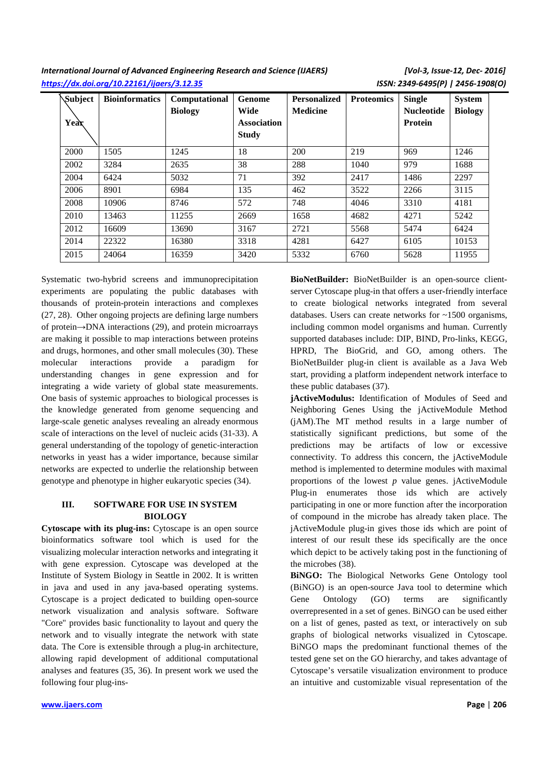*International Journal of Advanced Engineering Research and Science (IJAERS) [Vol-3, Issue-12, Dec- 2016] https://dx.doi.org/10.22161/ijaers/3.12.35 ISSN: 2349-6495(P) | 2456-1908(O)* 

| Subject | <b>Bioinformatics</b> | Computational  | <b>Genome</b> | <b>Personalized</b> | <b>Proteomics</b> | <b>Single</b>     | <b>System</b>  |
|---------|-----------------------|----------------|---------------|---------------------|-------------------|-------------------|----------------|
|         |                       | <b>Biology</b> | <b>Wide</b>   | <b>Medicine</b>     |                   | <b>Nucleotide</b> | <b>Biology</b> |
| Year    |                       |                | Association   |                     |                   | <b>Protein</b>    |                |
|         |                       |                | <b>Study</b>  |                     |                   |                   |                |
| 2000    | 1505                  | 1245           | 18            | 200                 | 219               | 969               | 1246           |
| 2002    | 3284                  | 2635           | 38            | 288                 | 1040              | 979               | 1688           |
| 2004    | 6424                  | 5032           | 71            | 392                 | 2417              | 1486              | 2297           |
| 2006    | 8901                  | 6984           | 135           | 462                 | 3522              | 2266              | 3115           |
| 2008    | 10906                 | 8746           | 572           | 748                 | 4046              | 3310              | 4181           |
| 2010    | 13463                 | 11255          | 2669          | 1658                | 4682              | 4271              | 5242           |
| 2012    | 16609                 | 13690          | 3167          | 2721                | 5568              | 5474              | 6424           |
| 2014    | 22322                 | 16380          | 3318          | 4281                | 6427              | 6105              | 10153          |
| 2015    | 24064                 | 16359          | 3420          | 5332                | 6760              | 5628              | 11955          |

Systematic two-hybrid screens and immunoprecipitation experiments are populating the public databases with thousands of protein-protein interactions and complexes (27, 28). Other ongoing projects are defining large numbers of protein→DNA interactions (29), and protein microarrays are making it possible to map interactions between proteins and drugs, hormones, and other small molecules (30). These molecular interactions provide a paradigm for understanding changes in gene expression and for integrating a wide variety of global state measurements. One basis of systemic approaches to biological processes is the knowledge generated from genome sequencing and large-scale genetic analyses revealing an already enormous scale of interactions on the level of nucleic acids (31-33). A general understanding of the topology of genetic-interaction networks in yeast has a wider importance, because similar networks are expected to underlie the relationship between genotype and phenotype in higher eukaryotic species (34).

### **III. SOFTWARE FOR USE IN SYSTEM BIOLOGY**

**Cytoscape with its plug-ins:** Cytoscape is an open source bioinformatics software tool which is used for the visualizing molecular interaction networks and integrating it with gene expression. Cytoscape was developed at the Institute of System Biology in Seattle in 2002. It is written in java and used in any java-based operating systems. Cytoscape is a project dedicated to building open-source network visualization and analysis software. Software "Core" provides basic functionality to layout and query the network and to visually integrate the network with state data. The Core is extensible through a plug-in architecture, allowing rapid development of additional computational analyses and features (35, 36). In present work we used the following four plug-ins**BioNetBuilder:** BioNetBuilder is an open-source clientserver Cytoscape plug-in that offers a user-friendly interface to create biological networks integrated from several databases. Users can create networks for ~1500 organisms, including common model organisms and human. Currently supported databases include: DIP, BIND, Pro-links, KEGG, HPRD, The BioGrid, and GO, among others. The BioNetBuilder plug-in client is available as a Java Web start, providing a platform independent network interface to these public databases (37).

**jActiveModulus:** Identification of Modules of Seed and Neighboring Genes Using the jActiveModule Method (jAM).The MT method results in a large number of statistically significant predictions, but some of the predictions may be artifacts of low or excessive connectivity. To address this concern, the jActiveModule method is implemented to determine modules with maximal proportions of the lowest *p* value genes. jActiveModule Plug-in enumerates those ids which are actively participating in one or more function after the incorporation of compound in the microbe has already taken place. The jActiveModule plug-in gives those ids which are point of interest of our result these ids specifically are the once which depict to be actively taking post in the functioning of the microbes (38).

**BiNGO:** The Biological Networks Gene Ontology tool (BiNGO) is an open-source Java tool to determine which Gene Ontology (GO) terms are significantly overrepresented in a set of genes. BiNGO can be used either on a list of genes, pasted as text, or interactively on sub graphs of biological networks visualized in Cytoscape. BiNGO maps the predominant functional themes of the tested gene set on the GO hierarchy, and takes advantage of Cytoscape's versatile visualization environment to produce an intuitive and customizable visual representation of the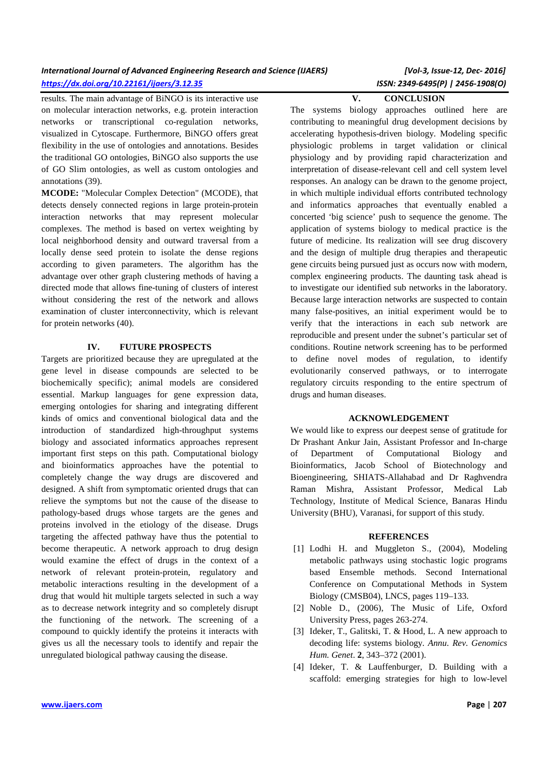| International Journal of Advanced Engineering Research and Science (IJAERS) |  |
|-----------------------------------------------------------------------------|--|
| https://dx.doi.org/10.22161/ijaers/3.12.35                                  |  |

results. The main advantage of BiNGO is its interactive use on molecular interaction networks, e.g. protein interaction networks or transcriptional co-regulation networks, visualized in Cytoscape. Furthermore, BiNGO offers great flexibility in the use of ontologies and annotations. Besides the traditional GO ontologies, BiNGO also supports the use of GO Slim ontologies, as well as custom ontologies and annotations (39).

**MCODE:** "Molecular Complex Detection" (MCODE), that detects densely connected regions in large protein-protein interaction networks that may represent molecular complexes. The method is based on vertex weighting by local neighborhood density and outward traversal from a locally dense seed protein to isolate the dense regions according to given parameters. The algorithm has the advantage over other graph clustering methods of having a directed mode that allows fine-tuning of clusters of interest without considering the rest of the network and allows examination of cluster interconnectivity, which is relevant for protein networks (40).

#### **IV. FUTURE PROSPECTS**

Targets are prioritized because they are upregulated at the gene level in disease compounds are selected to be biochemically specific); animal models are considered essential. Markup languages for gene expression data, emerging ontologies for sharing and integrating different kinds of omics and conventional biological data and the introduction of standardized high-throughput systems biology and associated informatics approaches represent important first steps on this path. Computational biology and bioinformatics approaches have the potential to completely change the way drugs are discovered and designed. A shift from symptomatic oriented drugs that can relieve the symptoms but not the cause of the disease to pathology-based drugs whose targets are the genes and proteins involved in the etiology of the disease. Drugs targeting the affected pathway have thus the potential to become therapeutic. A network approach to drug design would examine the effect of drugs in the context of a network of relevant protein-protein, regulatory and metabolic interactions resulting in the development of a drug that would hit multiple targets selected in such a way as to decrease network integrity and so completely disrupt the functioning of the network. The screening of a compound to quickly identify the proteins it interacts with gives us all the necessary tools to identify and repair the unregulated biological pathway causing the disease.

# *International Journal of Advanced Engineering Research and Science (IJAERS) [Vol-3, Issue-12, Dec- 2016] https://dx.doi.org/10.22161/ijaers/3.12.35 ISSN: 2349-6495(P) | 2456-1908(O)*

**V. CONCLUSION** 

The systems biology approaches outlined here are contributing to meaningful drug development decisions by accelerating hypothesis-driven biology. Modeling specific physiologic problems in target validation or clinical physiology and by providing rapid characterization and interpretation of disease-relevant cell and cell system level responses. An analogy can be drawn to the genome project, in which multiple individual efforts contributed technology and informatics approaches that eventually enabled a concerted 'big science' push to sequence the genome. The application of systems biology to medical practice is the future of medicine. Its realization will see drug discovery and the design of multiple drug therapies and therapeutic gene circuits being pursued just as occurs now with modern, complex engineering products. The daunting task ahead is to investigate our identified sub networks in the laboratory. Because large interaction networks are suspected to contain many false-positives, an initial experiment would be to verify that the interactions in each sub network are reproducible and present under the subnet's particular set of conditions. Routine network screening has to be performed to define novel modes of regulation, to identify evolutionarily conserved pathways, or to interrogate regulatory circuits responding to the entire spectrum of drugs and human diseases.

#### **ACKNOWLEDGEMENT**

We would like to express our deepest sense of gratitude for Dr Prashant Ankur Jain, Assistant Professor and In-charge of Department of Computational Biology and Bioinformatics, Jacob School of Biotechnology and Bioengineering, SHIATS-Allahabad and Dr Raghvendra Raman Mishra, Assistant Professor, Medical Lab Technology, Institute of Medical Science, Banaras Hindu University (BHU), Varanasi, for support of this study.

#### **REFERENCES**

- [1] Lodhi H. and Muggleton S., (2004), Modeling metabolic pathways using stochastic logic programs based Ensemble methods. Second International Conference on Computational Methods in System Biology (CMSB04), LNCS, pages 119–133.
- [2] Noble D., (2006), The Music of Life, Oxford University Press, pages 263-274.
- [3] Ideker, T., Galitski, T. & Hood, L. A new approach to decoding life: systems biology. *Annu. Rev. Genomics Hum. Genet.* **2**, 343–372 (2001).
- [4] Ideker, T. & Lauffenburger, D. Building with a scaffold: emerging strategies for high to low-level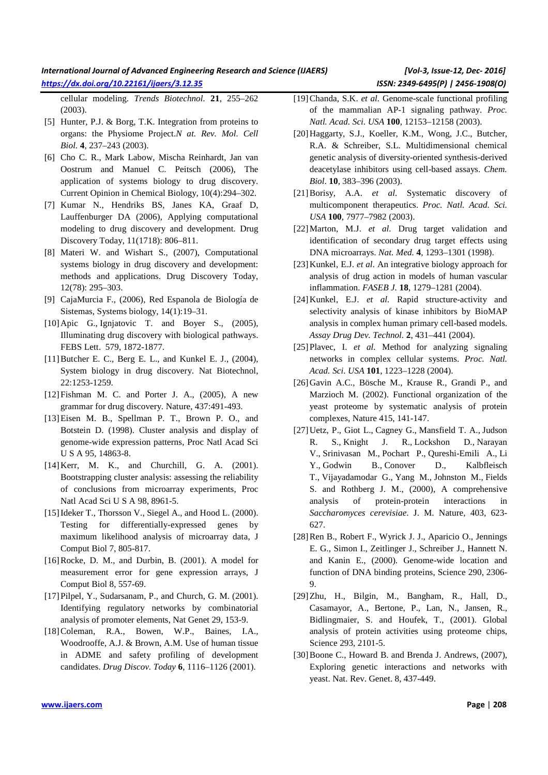# *International Journal of Advanced Engineering Research and Science (IJAERS) [Vol-3, Issue-12, Dec- 2016] https://dx.doi.org/10.22161/ijaers/3.12.35 ISSN: 2349-6495(P) | 2456-1908(O)*

cellular modeling. *Trends Biotechnol.* **21**, 255–262 (2003).

- [5] Hunter, P.J. & Borg, T.K. Integration from proteins to organs: the Physiome Project.*N at. Rev. Mol. Cell Biol.* **4**, 237–243 (2003).
- [6] Cho C. R., Mark Labow, Mischa Reinhardt, Jan van Oostrum and Manuel C. Peitsch (2006), The application of systems biology to drug discovery. Current Opinion in Chemical Biology, 10(4):294–302.
- [7] Kumar N., Hendriks BS, Janes KA, Graaf D, Lauffenburger DA (2006), Applying computational modeling to drug discovery and development. Drug Discovery Today, 11(1718): 806–811.
- [8] Materi W. and Wishart S., (2007), Computational systems biology in drug discovery and development: methods and applications. Drug Discovery Today, 12(78): 295–303.
- [9] CajaMurcia F., (2006), Red Espanola de Biología de Sistemas, Systems biology, 14(1):19–31.
- [10] Apic G., Ignjatovic T. and Boyer S., (2005), Illuminating drug discovery with biological pathways. FEBS Lett. 579, 1872-1877.
- [11]Butcher E. C., Berg E. L., and Kunkel E. J., (2004), System biology in drug discovery. Nat Biotechnol, 22:1253-1259.
- [12]Fishman M. C. and Porter J. A., (2005), A new grammar for drug discovery. Nature, 437:491-493.
- [13]Eisen M. B., Spellman P. T., Brown P. O., and Botstein D. (1998). Cluster analysis and display of genome-wide expression patterns, Proc Natl Acad Sci U S A 95, 14863-8.
- [14] Kerr, M. K., and Churchill, G. A. (2001). Bootstrapping cluster analysis: assessing the reliability of conclusions from microarray experiments, Proc Natl Acad Sci U S A 98, 8961-5.
- [15] Ideker T., Thorsson V., Siegel A., and Hood L. (2000). Testing for differentially-expressed genes by maximum likelihood analysis of microarray data, J Comput Biol 7, 805-817.
- [16]Rocke, D. M., and Durbin, B. (2001). A model for measurement error for gene expression arrays, J Comput Biol 8, 557-69.
- [17] Pilpel, Y., Sudarsanam, P., and Church, G. M. (2001). Identifying regulatory networks by combinatorial analysis of promoter elements, Nat Genet 29, 153-9.
- [18]Coleman, R.A., Bowen, W.P., Baines, I.A., Woodrooffe, A.J. & Brown, A.M. Use of human tissue in ADME and safety profiling of development candidates. *Drug Discov. Today* **6**, 1116–1126 (2001).
- [19]Chanda, S.K. *et al.* Genome-scale functional profiling of the mammalian AP-1 signaling pathway. *Proc. Natl. Acad. Sci. USA* **100**, 12153–12158 (2003).
- [20]Haggarty, S.J., Koeller, K.M., Wong, J.C., Butcher, R.A. & Schreiber, S.L. Multidimensional chemical genetic analysis of diversity-oriented synthesis-derived deacetylase inhibitors using cell-based assays. *Chem. Biol.* **10**, 383–396 (2003).
- [21]Borisy, A.A. *et al.* Systematic discovery of multicomponent therapeutics. *Proc. Natl. Acad. Sci. USA* **100**, 7977–7982 (2003).
- [22]Marton, M.J. *et al.* Drug target validation and identification of secondary drug target effects using DNA microarrays. *Nat. Med.* **4**, 1293–1301 (1998).
- [23] Kunkel, E.J. *et al.* An integrative biology approach for analysis of drug action in models of human vascular inflammation. *FASEB J.* **18**, 1279–1281 (2004).
- [24]Kunkel, E.J. *et al.* Rapid structure-activity and selectivity analysis of kinase inhibitors by BioMAP analysis in complex human primary cell-based models. *Assay Drug Dev. Technol.* **2**, 431–441 (2004).
- [25]Plavec, I. *et al.* Method for analyzing signaling networks in complex cellular systems. *Proc. Natl. Acad. Sci. USA* **101**, 1223–1228 (2004).
- [26]Gavin A.C., Bösche M., Krause R., Grandi P., and Marzioch M. (2002). Functional organization of the yeast proteome by systematic analysis of protein complexes, Nature 415, 141-147.
- [27]Uetz, P., Giot L., Cagney G., Mansfield T. A., Judson R. S., Knight J. R., Lockshon D., Narayan V., Srinivasan M., Pochart P., Qureshi-Emili A., Li Y., Godwin B., Conover D., Kalbfleisch T., Vijayadamodar G., Yang M., Johnston M., Fields S. and Rothberg J. M., (2000), A comprehensive analysis of protein-protein interactions in *Saccharomyces cerevisiae*. J. M. Nature, 403, 623- 627.
- [28]Ren B., Robert F., Wyrick J. J., Aparicio O., Jennings E. G., Simon I., Zeitlinger J., Schreiber J., Hannett N. and Kanin E., (2000). Genome-wide location and function of DNA binding proteins, Science 290, 2306- 9.
- [29]Zhu, H., Bilgin, M., Bangham, R., Hall, D., Casamayor, A., Bertone, P., Lan, N., Jansen, R., Bidlingmaier, S. and Houfek, T., (2001). Global analysis of protein activities using proteome chips, Science 293, 2101-5.
- [30]Boone C., Howard B. and Brenda J. Andrews, (2007), Exploring genetic interactions and networks with yeast. Nat. Rev. Genet. 8, 437-449.